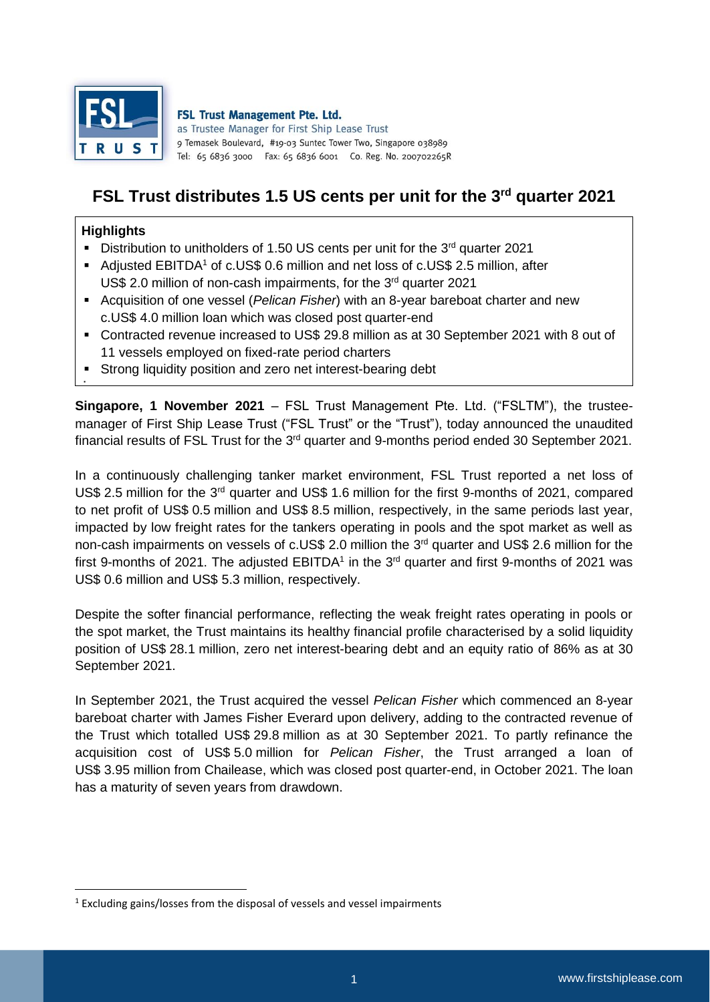

**FSL Trust Management Pte. Ltd.** as Trustee Manager for First Ship Lease Trust 9 Temasek Boulevard, #19-03 Suntec Tower Two, Singapore 038989 Tel: 65 6836 3000 Fax: 65 6836 6001 Co. Reg. No. 200702265R

# **FSL Trust distributes 1.5 US cents per unit for the 3 rd quarter 2021**

#### **Highlights**

۰

**.** 

- **Distribution to unitholders of 1.50 US cents per unit for the 3<sup>rd</sup> quarter 2021**
- Adjusted EBITDA<sup>1</sup> of c.US\$ 0.6 million and net loss of c.US\$ 2.5 million, after US\$ 2.0 million of non-cash impairments, for the  $3<sup>rd</sup>$  quarter 2021
- Acquisition of one vessel (*Pelican Fisher*) with an 8-year bareboat charter and new c.US\$ 4.0 million loan which was closed post quarter-end
- Contracted revenue increased to US\$ 29.8 million as at 30 September 2021 with 8 out of 11 vessels employed on fixed-rate period charters
- Strong liquidity position and zero net interest-bearing debt

**Singapore, 1 November 2021** – FSL Trust Management Pte. Ltd. ("FSLTM"), the trusteemanager of First Ship Lease Trust ("FSL Trust" or the "Trust"), today announced the unaudited financial results of FSL Trust for the  $3<sup>rd</sup>$  quarter and 9-months period ended 30 September 2021.

In a continuously challenging tanker market environment, FSL Trust reported a net loss of US\$ 2.5 million for the 3rd quarter and US\$ 1.6 million for the first 9-months of 2021, compared to net profit of US\$ 0.5 million and US\$ 8.5 million, respectively, in the same periods last year, impacted by low freight rates for the tankers operating in pools and the spot market as well as non-cash impairments on vessels of c.US\$ 2.0 million the 3<sup>rd</sup> quarter and US\$ 2.6 million for the first 9-months of 2021. The adjusted EBITDA<sup>1</sup> in the 3<sup>rd</sup> quarter and first 9-months of 2021 was US\$ 0.6 million and US\$ 5.3 million, respectively.

Despite the softer financial performance, reflecting the weak freight rates operating in pools or the spot market, the Trust maintains its healthy financial profile characterised by a solid liquidity position of US\$ 28.1 million, zero net interest-bearing debt and an equity ratio of 86% as at 30 September 2021.

In September 2021, the Trust acquired the vessel *Pelican Fisher* which commenced an 8-year bareboat charter with James Fisher Everard upon delivery, adding to the contracted revenue of the Trust which totalled US\$ 29.8 million as at 30 September 2021. To partly refinance the acquisition cost of US\$ 5.0 million for *Pelican Fisher*, the Trust arranged a loan of US\$ 3.95 million from Chailease, which was closed post quarter-end, in October 2021. The loan has a maturity of seven years from drawdown.

<sup>&</sup>lt;sup>1</sup> Excluding gains/losses from the disposal of vessels and vessel impairments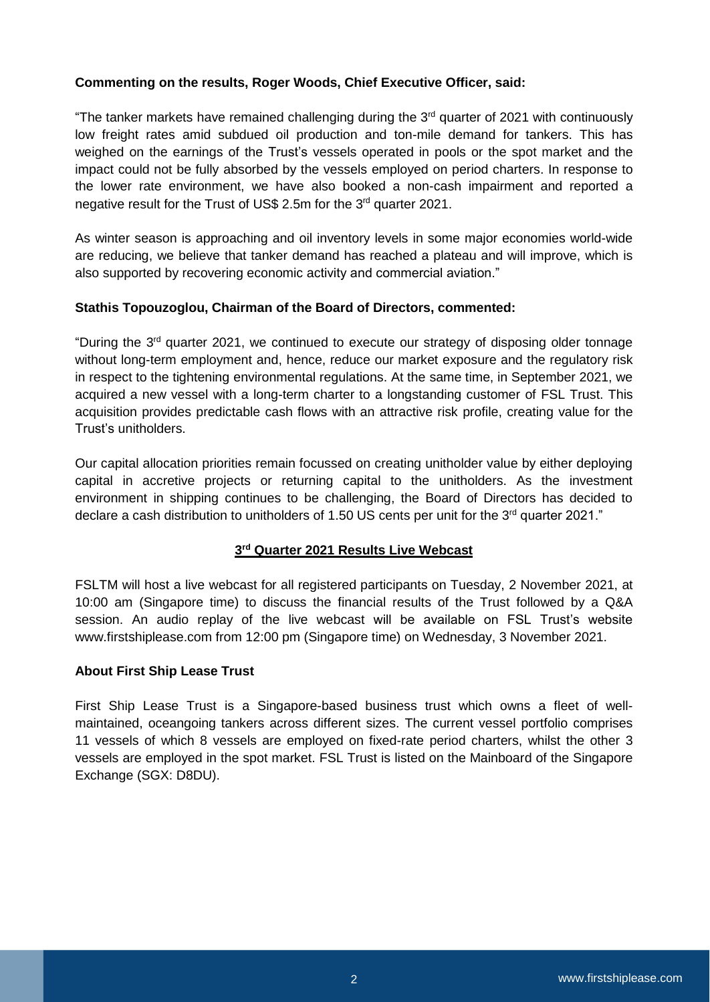## **Commenting on the results, Roger Woods, Chief Executive Officer, said:**

"The tanker markets have remained challenging during the 3<sup>rd</sup> quarter of 2021 with continuously low freight rates amid subdued oil production and ton-mile demand for tankers. This has weighed on the earnings of the Trust's vessels operated in pools or the spot market and the impact could not be fully absorbed by the vessels employed on period charters. In response to the lower rate environment, we have also booked a non-cash impairment and reported a negative result for the Trust of US\$ 2.5m for the 3<sup>rd</sup> quarter 2021.

As winter season is approaching and oil inventory levels in some major economies world-wide are reducing, we believe that tanker demand has reached a plateau and will improve, which is also supported by recovering economic activity and commercial aviation."

## **Stathis Topouzoglou, Chairman of the Board of Directors, commented:**

"During the 3rd quarter 2021, we continued to execute our strategy of disposing older tonnage without long-term employment and, hence, reduce our market exposure and the regulatory risk in respect to the tightening environmental regulations. At the same time, in September 2021, we acquired a new vessel with a long-term charter to a longstanding customer of FSL Trust. This acquisition provides predictable cash flows with an attractive risk profile, creating value for the Trust's unitholders.

Our capital allocation priorities remain focussed on creating unitholder value by either deploying capital in accretive projects or returning capital to the unitholders. As the investment environment in shipping continues to be challenging, the Board of Directors has decided to declare a cash distribution to unitholders of 1.50 US cents per unit for the 3<sup>rd</sup> quarter 2021."

## **3 rd Quarter 2021 Results Live Webcast**

FSLTM will host a live webcast for all registered participants on Tuesday, 2 November 2021, at 10:00 am (Singapore time) to discuss the financial results of the Trust followed by a Q&A session. An audio replay of the live webcast will be available on FSL Trust's website www.firstshiplease.com from 12:00 pm (Singapore time) on Wednesday, 3 November 2021.

#### **About First Ship Lease Trust**

First Ship Lease Trust is a Singapore-based business trust which owns a fleet of wellmaintained, oceangoing tankers across different sizes. The current vessel portfolio comprises 11 vessels of which 8 vessels are employed on fixed-rate period charters, whilst the other 3 vessels are employed in the spot market. FSL Trust is listed on the Mainboard of the Singapore Exchange (SGX: D8DU).